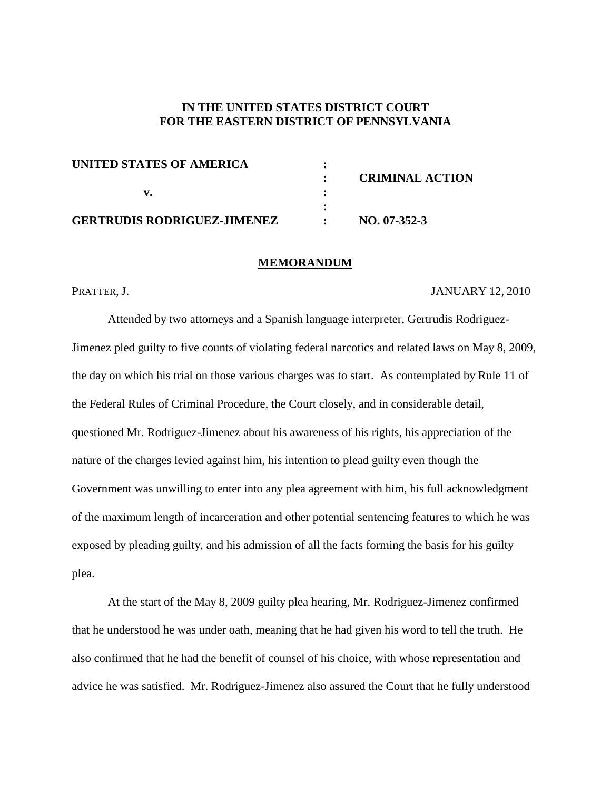## **IN THE UNITED STATES DISTRICT COURT FOR THE EASTERN DISTRICT OF PENNSYLVANIA**

| UNITED STATES OF AMERICA           |                        |
|------------------------------------|------------------------|
|                                    | <b>CRIMINAL ACTION</b> |
|                                    |                        |
|                                    |                        |
| <b>GERTRUDIS RODRIGUEZ-JIMENEZ</b> | $NO. 07-352-3$         |

#### **MEMORANDUM**

### PRATTER, J. JANUARY 12, 2010

Attended by two attorneys and a Spanish language interpreter, Gertrudis Rodriguez-Jimenez pled guilty to five counts of violating federal narcotics and related laws on May 8, 2009, the day on which his trial on those various charges was to start. As contemplated by Rule 11 of the Federal Rules of Criminal Procedure, the Court closely, and in considerable detail, questioned Mr. Rodriguez-Jimenez about his awareness of his rights, his appreciation of the nature of the charges levied against him, his intention to plead guilty even though the Government was unwilling to enter into any plea agreement with him, his full acknowledgment of the maximum length of incarceration and other potential sentencing features to which he was exposed by pleading guilty, and his admission of all the facts forming the basis for his guilty plea.

At the start of the May 8, 2009 guilty plea hearing, Mr. Rodriguez-Jimenez confirmed that he understood he was under oath, meaning that he had given his word to tell the truth. He also confirmed that he had the benefit of counsel of his choice, with whose representation and advice he was satisfied. Mr. Rodriguez-Jimenez also assured the Court that he fully understood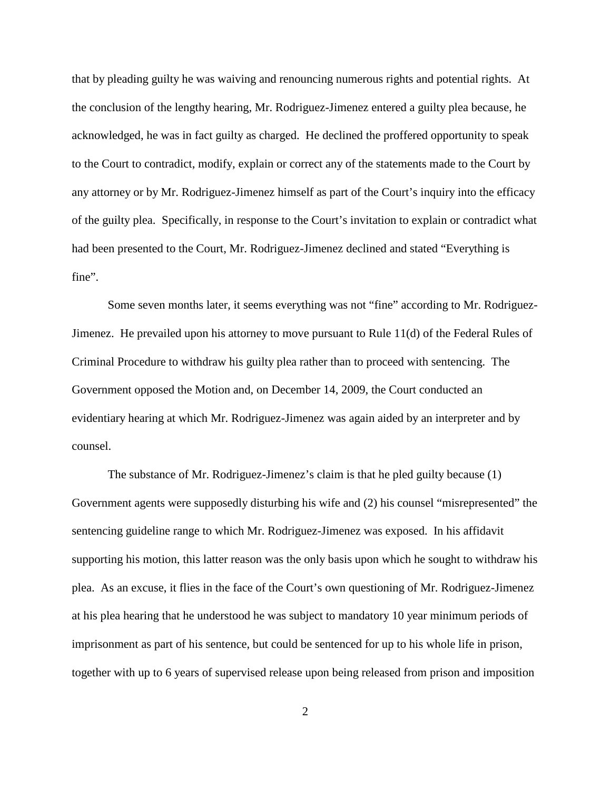that by pleading guilty he was waiving and renouncing numerous rights and potential rights. At the conclusion of the lengthy hearing, Mr. Rodriguez-Jimenez entered a guilty plea because, he acknowledged, he was in fact guilty as charged. He declined the proffered opportunity to speak to the Court to contradict, modify, explain or correct any of the statements made to the Court by any attorney or by Mr. Rodriguez-Jimenez himself as part of the Court's inquiry into the efficacy of the guilty plea. Specifically, in response to the Court's invitation to explain or contradict what had been presented to the Court, Mr. Rodriguez-Jimenez declined and stated "Everything is fine".

Some seven months later, it seems everything was not "fine" according to Mr. Rodriguez-Jimenez. He prevailed upon his attorney to move pursuant to Rule 11(d) of the Federal Rules of Criminal Procedure to withdraw his guilty plea rather than to proceed with sentencing. The Government opposed the Motion and, on December 14, 2009, the Court conducted an evidentiary hearing at which Mr. Rodriguez-Jimenez was again aided by an interpreter and by counsel.

The substance of Mr. Rodriguez-Jimenez's claim is that he pled guilty because (1) Government agents were supposedly disturbing his wife and (2) his counsel "misrepresented" the sentencing guideline range to which Mr. Rodriguez-Jimenez was exposed. In his affidavit supporting his motion, this latter reason was the only basis upon which he sought to withdraw his plea. As an excuse, it flies in the face of the Court's own questioning of Mr. Rodriguez-Jimenez at his plea hearing that he understood he was subject to mandatory 10 year minimum periods of imprisonment as part of his sentence, but could be sentenced for up to his whole life in prison, together with up to 6 years of supervised release upon being released from prison and imposition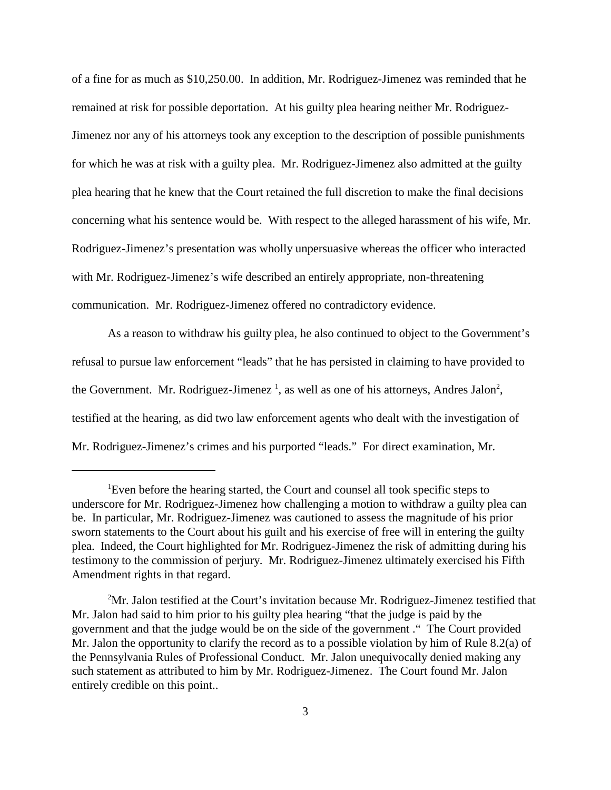of a fine for as much as \$10,250.00. In addition, Mr. Rodriguez-Jimenez was reminded that he remained at risk for possible deportation. At his guilty plea hearing neither Mr. Rodriguez-Jimenez nor any of his attorneys took any exception to the description of possible punishments for which he was at risk with a guilty plea. Mr. Rodriguez-Jimenez also admitted at the guilty plea hearing that he knew that the Court retained the full discretion to make the final decisions concerning what his sentence would be. With respect to the alleged harassment of his wife, Mr. Rodriguez-Jimenez's presentation was wholly unpersuasive whereas the officer who interacted with Mr. Rodriguez-Jimenez's wife described an entirely appropriate, non-threatening communication. Mr. Rodriguez-Jimenez offered no contradictory evidence.

As a reason to withdraw his guilty plea, he also continued to object to the Government's refusal to pursue law enforcement "leads" that he has persisted in claiming to have provided to the Government. Mr. Rodriguez-Jimenez<sup>1</sup>, as well as one of his attorneys, Andres Jalon<sup>2</sup>, testified at the hearing, as did two law enforcement agents who dealt with the investigation of Mr. Rodriguez-Jimenez's crimes and his purported "leads." For direct examination, Mr.

<sup>&</sup>lt;sup>1</sup>Even before the hearing started, the Court and counsel all took specific steps to underscore for Mr. Rodriguez-Jimenez how challenging a motion to withdraw a guilty plea can be. In particular, Mr. Rodriguez-Jimenez was cautioned to assess the magnitude of his prior sworn statements to the Court about his guilt and his exercise of free will in entering the guilty plea. Indeed, the Court highlighted for Mr. Rodriguez-Jimenez the risk of admitting during his testimony to the commission of perjury. Mr. Rodriguez-Jimenez ultimately exercised his Fifth Amendment rights in that regard.

 $2<sup>2</sup>$ Mr. Jalon testified at the Court's invitation because Mr. Rodriguez-Jimenez testified that Mr. Jalon had said to him prior to his guilty plea hearing "that the judge is paid by the government and that the judge would be on the side of the government ." The Court provided Mr. Jalon the opportunity to clarify the record as to a possible violation by him of Rule 8.2(a) of the Pennsylvania Rules of Professional Conduct. Mr. Jalon unequivocally denied making any such statement as attributed to him by Mr. Rodriguez-Jimenez. The Court found Mr. Jalon entirely credible on this point..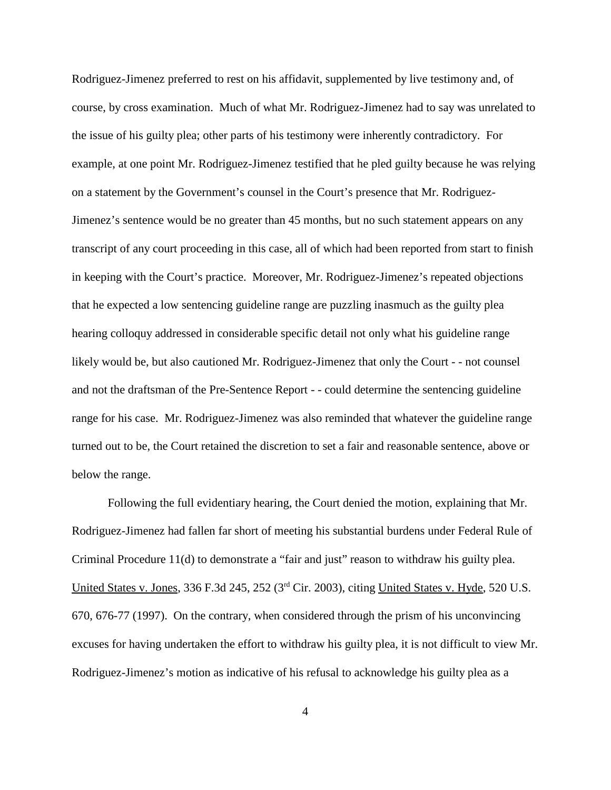Rodriguez-Jimenez preferred to rest on his affidavit, supplemented by live testimony and, of course, by cross examination. Much of what Mr. Rodriguez-Jimenez had to say was unrelated to the issue of his guilty plea; other parts of his testimony were inherently contradictory. For example, at one point Mr. Rodriguez-Jimenez testified that he pled guilty because he was relying on a statement by the Government's counsel in the Court's presence that Mr. Rodriguez-Jimenez's sentence would be no greater than 45 months, but no such statement appears on any transcript of any court proceeding in this case, all of which had been reported from start to finish in keeping with the Court's practice. Moreover, Mr. Rodriguez-Jimenez's repeated objections that he expected a low sentencing guideline range are puzzling inasmuch as the guilty plea hearing colloquy addressed in considerable specific detail not only what his guideline range likely would be, but also cautioned Mr. Rodriguez-Jimenez that only the Court - - not counsel and not the draftsman of the Pre-Sentence Report - - could determine the sentencing guideline range for his case. Mr. Rodriguez-Jimenez was also reminded that whatever the guideline range turned out to be, the Court retained the discretion to set a fair and reasonable sentence, above or below the range.

Following the full evidentiary hearing, the Court denied the motion, explaining that Mr. Rodriguez-Jimenez had fallen far short of meeting his substantial burdens under Federal Rule of Criminal Procedure 11(d) to demonstrate a "fair and just" reason to withdraw his guilty plea. United States v. Jones, 336 F.3d 245, 252 (3rd Cir. 2003), citing United States v. Hyde, 520 U.S. 670, 676-77 (1997). On the contrary, when considered through the prism of his unconvincing excuses for having undertaken the effort to withdraw his guilty plea, it is not difficult to view Mr. Rodriguez-Jimenez's motion as indicative of his refusal to acknowledge his guilty plea as a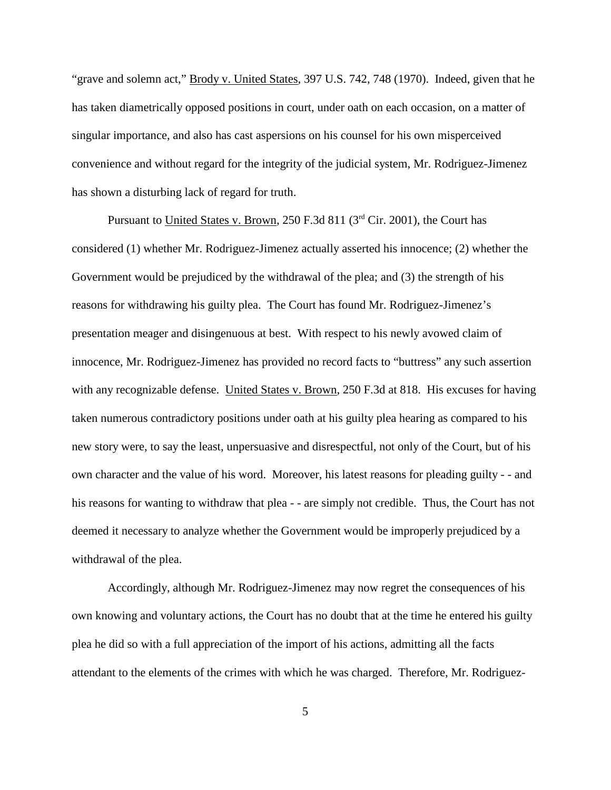"grave and solemn act," Brody v. United States, 397 U.S. 742, 748 (1970). Indeed, given that he has taken diametrically opposed positions in court, under oath on each occasion, on a matter of singular importance, and also has cast aspersions on his counsel for his own misperceived convenience and without regard for the integrity of the judicial system, Mr. Rodriguez-Jimenez has shown a disturbing lack of regard for truth.

Pursuant to United States v. Brown, 250 F.3d 811 (3<sup>rd</sup> Cir. 2001), the Court has considered (1) whether Mr. Rodriguez-Jimenez actually asserted his innocence; (2) whether the Government would be prejudiced by the withdrawal of the plea; and (3) the strength of his reasons for withdrawing his guilty plea. The Court has found Mr. Rodriguez-Jimenez's presentation meager and disingenuous at best. With respect to his newly avowed claim of innocence, Mr. Rodriguez-Jimenez has provided no record facts to "buttress" any such assertion with any recognizable defense. United States v. Brown, 250 F.3d at 818. His excuses for having taken numerous contradictory positions under oath at his guilty plea hearing as compared to his new story were, to say the least, unpersuasive and disrespectful, not only of the Court, but of his own character and the value of his word. Moreover, his latest reasons for pleading guilty - - and his reasons for wanting to withdraw that plea - - are simply not credible. Thus, the Court has not deemed it necessary to analyze whether the Government would be improperly prejudiced by a withdrawal of the plea.

Accordingly, although Mr. Rodriguez-Jimenez may now regret the consequences of his own knowing and voluntary actions, the Court has no doubt that at the time he entered his guilty plea he did so with a full appreciation of the import of his actions, admitting all the facts attendant to the elements of the crimes with which he was charged. Therefore, Mr. Rodriguez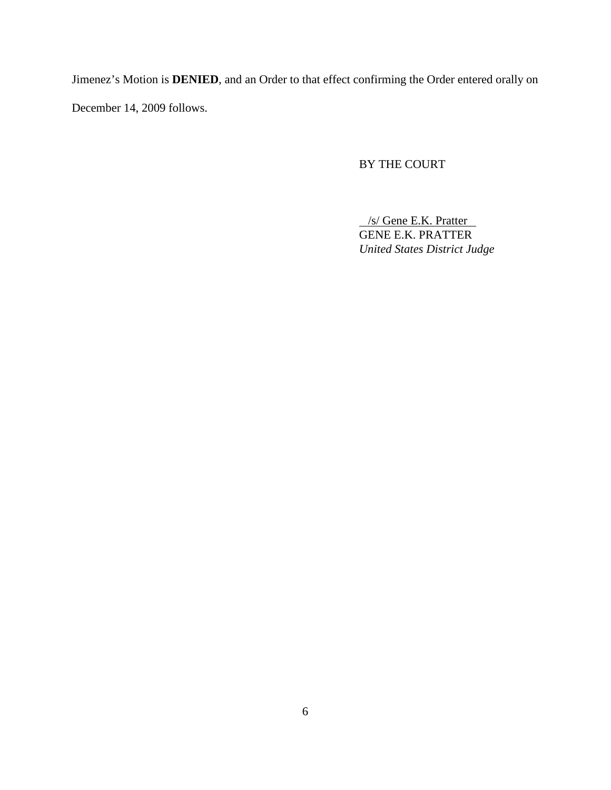Jimenez's Motion is **DENIED**, and an Order to that effect confirming the Order entered orally on December 14, 2009 follows.

# BY THE COURT

/s/ Gene E.K. Pratter GENE E.K. PRATTER *United States District Judge*